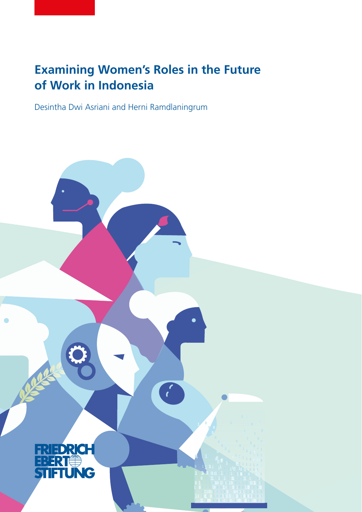# **Examining Women's Roles in the Future of Work in Indonesia**

Desintha Dwi Asriani and Herni Ramdlaningrum

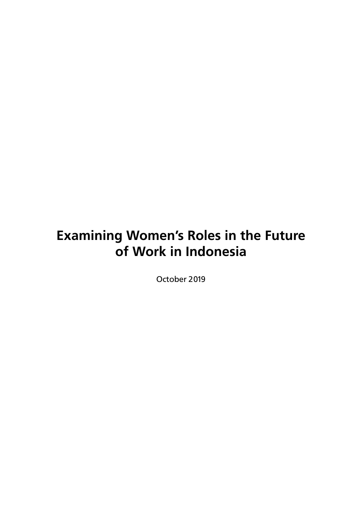# **Examining Women's Roles in the Future of Work in Indonesia**

October 2019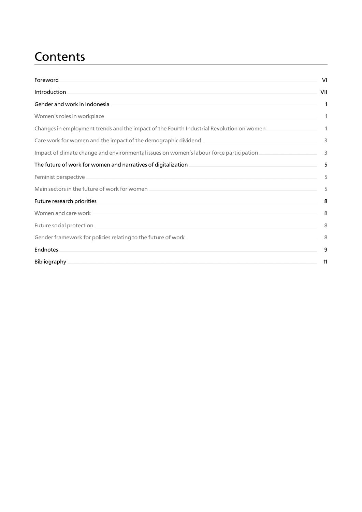# Contents

| Foreword                                                                                                                                                                                                                                                      | VI           |
|---------------------------------------------------------------------------------------------------------------------------------------------------------------------------------------------------------------------------------------------------------------|--------------|
| Introduction                                                                                                                                                                                                                                                  | VII          |
| Gender and work in Indonesia<br>the control of the control of the control of the control of the control of the control of the control of the control of the control of the control of the control of the control of the control of the control of the control | 1            |
| Women's roles in workplace                                                                                                                                                                                                                                    | 1            |
| Changes in employment trends and the impact of the Fourth Industrial Revolution on women                                                                                                                                                                      | $\mathbf{1}$ |
| Care work for women and the impact of the demographic dividend <b>Care and Care and Care and Care and Taylor</b>                                                                                                                                              | 3            |
| Impact of climate change and environmental issues on women's labour force participation _____________________                                                                                                                                                 | $\mathsf 3$  |
| The future of work for women and narratives of digitalization.                                                                                                                                                                                                | 5            |
| Feminist perspective                                                                                                                                                                                                                                          | 5            |
| Main sectors in the future of work for women when the control of the manner of the manner of the manner of the                                                                                                                                                | 5            |
| Future research priorities and the contract of the contract of the contract of the contract of the contract of                                                                                                                                                | 8            |
| Women and care work                                                                                                                                                                                                                                           | 8            |
|                                                                                                                                                                                                                                                               | 8            |
| Gender framework for policies relating to the future of work.                                                                                                                                                                                                 | 8            |
| <b>Endnotes</b>                                                                                                                                                                                                                                               | 9            |
| Bibliography                                                                                                                                                                                                                                                  | 11           |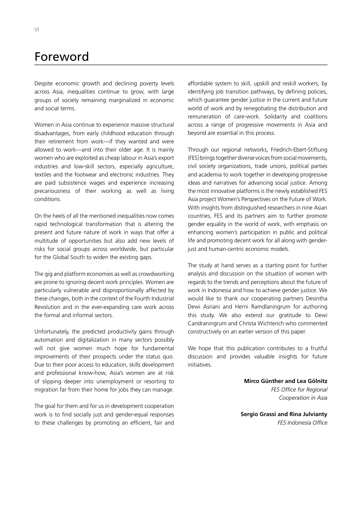## Foreword

Despite economic growth and declining poverty levels across Asia, inequalities continue to grow, with large groups of society remaining marginalized in economic and social terms.

Women in Asia continue to experience massive structural disadvantages, from early childhood education through their retirement from work—if they wanted and were allowed to work—and into their older age. It is mainly women who are exploited as cheap labour in Asia's export industries and low-skill sectors, especially agriculture, textiles and the footwear and electronic industries. They are paid subsistence wages and experience increasing precariousness of their working as well as living conditions.

On the heels of all the mentioned inequalities now comes rapid technological transformation that is altering the present and future nature of work in ways that offer a multitude of opportunities but also add new levels of risks for social groups across worldwide, but particular for the Global South to widen the existing gaps.

The gig and platform economies as well as crowdworking are prone to ignoring decent work principles. Women are particularly vulnerable and disproportionally affected by these changes, both in the context of the Fourth Industrial Revolution and in the ever-expanding care work across the formal and informal sectors.

Unfortunately, the predicted productivity gains through automation and digitalization in many sectors possibly will not give women much hope for fundamental improvements of their prospects under the status quo. Due to their poor access to education, skills development and professional know-how, Asia's women are at risk of slipping deeper into unemployment or resorting to migration far from their home for jobs they can manage.

The goal for them and for us in development cooperation work is to find socially just and gender-equal responses to these challenges by promoting an efficient, fair and

affordable system to skill, upskill and reskill workers, by identifying job transition pathways, by defining policies, which guarantee gender justice in the current and future world of work and by renegotiating the distribution and remuneration of care-work. Solidarity and coalitions across a range of progressive movements in Asia and beyond are essential in this process.

Through our regional networks, Friedrich-Ebert-Stiftung (FES) brings together diverse voices from social movements, civil society organizations, trade unions, political parties and academia to work together in developing progressive ideas and narratives for advancing social justice. Among the most innovative platforms is the newly established FES Asia project Women's Perspectives on the Future of Work. With insights from distinguished researchers in nine Asian countries, FES and its partners aim to further promote gender equality in the world of work, with emphasis on enhancing women's participation in public and political life and promoting decent work for all along with genderjust and human-centric economic models.

The study at hand serves as a starting point for further analysis and discussion on the situation of women with regards to the trends and perceptions about the future of work in Indonesia and how to achieve gender justice. We would like to thank our cooperating partners Desintha Dewi Asriani and Herni Ramdlaningrum for authoring this study. We also extend our gratitude to Dewi Candraningrum and Christa Wichterich who commented constructively on an earlier version of this paper.

We hope that this publication contributes to a fruitful discussion and provides valuable insights for future initiatives.

> **Mirco Günther and Lea Gölnitz** *FES Office for Regional Cooperation in Asia*

**Sergio Grassi and Rina Julvianty** *FES Indonesia Office*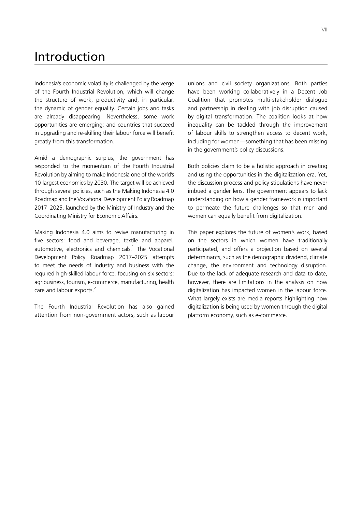## Introduction

Indonesia's economic volatility is challenged by the verge of the Fourth Industrial Revolution, which will change the structure of work, productivity and, in particular, the dynamic of gender equality. Certain jobs and tasks are already disappearing. Nevertheless, some work opportunities are emerging; and countries that succeed in upgrading and re-skilling their labour force will benefit greatly from this transformation.

Amid a demographic surplus, the government has responded to the momentum of the Fourth Industrial Revolution by aiming to make Indonesia one of the world's 10-largest economies by 2030. The target will be achieved through several policies, such as the Making Indonesia 4.0 Roadmap and the Vocational Development Policy Roadmap 2017–2025, launched by the Ministry of Industry and the Coordinating Ministry for Economic Affairs.

Making Indonesia 4.0 aims to revive manufacturing in five sectors: food and beverage, textile and apparel, automotive, electronics and chemicals.<sup>1</sup> The Vocational Development Policy Roadmap 2017–2025 attempts to meet the needs of industry and business with the required high-skilled labour force, focusing on six sectors: agribusiness, tourism, e-commerce, manufacturing, health care and labour exports.<sup>2</sup>

The Fourth Industrial Revolution has also gained attention from non-government actors, such as labour

unions and civil society organizations. Both parties have been working collaboratively in a Decent Job Coalition that promotes multi-stakeholder dialogue and partnership in dealing with job disruption caused by digital transformation. The coalition looks at how inequality can be tackled through the improvement of labour skills to strengthen access to decent work, including for women—something that has been missing in the government's policy discussions.

Both policies claim to be a holistic approach in creating and using the opportunities in the digitalization era. Yet, the discussion process and policy stipulations have never imbued a gender lens. The government appears to lack understanding on how a gender framework is important to permeate the future challenges so that men and women can equally benefit from digitalization.

This paper explores the future of women's work, based on the sectors in which women have traditionally participated, and offers a projection based on several determinants, such as the demographic dividend, climate change, the environment and technology disruption. Due to the lack of adequate research and data to date, however, there are limitations in the analysis on how digitalization has impacted women in the labour force. What largely exists are media reports highlighting how digitalization is being used by women through the digital platform economy, such as e-commerce.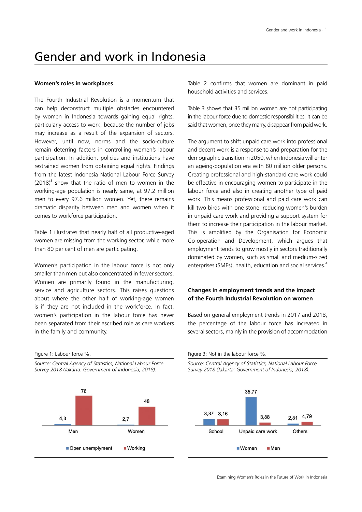# Gender and work in Indonesia

#### **Women's roles in workplaces**

The Fourth Industrial Revolution is a momentum that can help deconstruct multiple obstacles encountered by women in Indonesia towards gaining equal rights, particularly access to work, because the number of jobs may increase as a result of the expansion of sectors. However, until now, norms and the socio-culture remain deterring factors in controlling women's labour participation. In addition, policies and institutions have restrained women from obtaining equal rights. Findings from the latest Indonesia National Labour Force Survey  $(2018)^3$  show that the ratio of men to women in the working-age population is nearly same, at 97.2 million men to every 97.6 million women. Yet, there remains dramatic disparity between men and women when it comes to workforce participation.

Table 1 illustrates that nearly half of all productive-aged women are missing from the working sector, while more than 80 per cent of men are participating.

Women's participation in the labour force is not only smaller than men but also concentrated in fewer sectors. Women are primarily found in the manufacturing, service and agriculture sectors. This raises questions about where the other half of working-age women is if they are not included in the workforce. In fact, women's participation in the labour force has never been separated from their ascribed role as care workers in the family and community.

Figure 1: Labour force %.

*Source: Central Agency of Statistics, National Labour Force Survey 2018 (Jakarta: Government of Indonesia, 2018).*



Table 2 confirms that women are dominant in paid household activities and services.

Table 3 shows that 35 million women are not participating in the labour force due to domestic responsibilities. It can be said that women, once they marry, disappear from paid work.

The argument to shift unpaid care work into professional and decent work is a response to and preparation for the demographic transition in 2050, when Indonesia will enter an ageing-population era with 80 million older persons. Creating professional and high-standard care work could be effective in encouraging women to participate in the labour force and also in creating another type of paid work. This means professional and paid care work can kill two birds with one stone: reducing women's burden in unpaid care work and providing a support system for them to increase their participation in the labour market. This is amplified by the Organisation for Economic Co-operation and Development, which argues that employment tends to grow mostly in sectors traditionally dominated by women, such as small and medium-sized enterprises (SMEs), health, education and social services.<sup>4</sup>

### **Changes in employment trends and the impact of the Fourth Industrial Revolution on women**

Based on general employment trends in 2017 and 2018, the percentage of the labour force has increased in several sectors, mainly in the provision of accommodation

Figure 3: Not in the labour force %. *Source: Central Agency of Statistics, National Labour Force* 

*Survey 2018 (Jakarta: Government of Indonesia, 2018).*

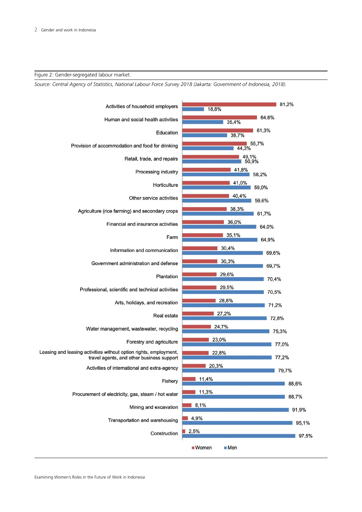Figure 2: Gender-segregated labour market.

*Source: Central Agency of Statistics, National Labour Force Survey 2018 (Jakarta: Government of Indonesia, 2018).*

| Activities of household employers                                                             | 81,2%<br>18,8%          |  |
|-----------------------------------------------------------------------------------------------|-------------------------|--|
| Human and social health activities                                                            | 64,6%<br>35,4%          |  |
| Education                                                                                     | 61,3%<br>38,7%          |  |
| Provision of accommodation and food for drinking                                              | 55,7%<br>44,3%          |  |
| Retail, trade, and repairs                                                                    | 49,1%<br>50,9%          |  |
| Processing industry                                                                           | 41,8%<br>58,2%          |  |
| Horticulture                                                                                  | 41,0%<br>59,0%          |  |
| Other service activities                                                                      | 40,4%<br>59,6%          |  |
| Agriculture (rice farming) and secondary crops                                                | 38,3%<br>61,7%          |  |
| Financial and insurance activities                                                            | 36,0%<br>64,0%          |  |
| Farm                                                                                          | 35,1%<br>64,9%          |  |
| Information and communication                                                                 | 30,4%<br>69,6%          |  |
| Government administration and defense                                                         | 30,3%<br>69,7%          |  |
| Plantation                                                                                    | 29,6%<br>70,4%          |  |
| Professional, scientific and technical activities                                             | 29,5%<br>70,5%          |  |
| Arts, holidays, and recreation                                                                | 28,8%<br>71,2%          |  |
| <b>Real estate</b>                                                                            | 27,2%<br>72,8%          |  |
| Water management, wastewater, recycling                                                       | 24,7%<br>75,3%          |  |
| Forestry and agriculture<br>Leasing and leasing activities without option rights, employment, | 23,0%<br>77,0%          |  |
| travel agents, and other business support                                                     | 22,8%<br>77,2%          |  |
| Activities of international and extra-agency                                                  | 20,3%<br>79,7%          |  |
| Fishery                                                                                       | 11,4%<br>88,6%<br>11,3% |  |
| Procurement of electricity, gas, steam / hot water                                            | 88,7%                   |  |
| Mining and excavation                                                                         | 8,1%<br>91,9%<br>4,9%   |  |
| Transportation and warehousing                                                                | 95,1%<br>2,5%           |  |
| Construction                                                                                  | 97,5%                   |  |
| $\blacksquare$ Women<br>Men                                                                   |                         |  |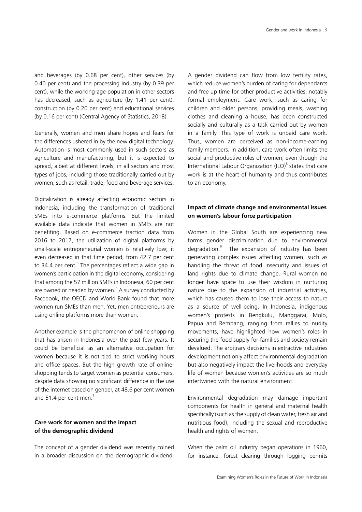and beverages (by 0.68 per cent), other services (by 0.40 per cent) and the processing industry (by 0.39 per cent), while the working-age population in other sectors has decreased, such as agriculture (by 1.41 per cent), construction (by 0.20 per cent) and educational services (by 0.16 per cent) (Central Agency of Statistics, 2018).

Generally, women and men share hopes and fears for the differences ushered in by the new digital technology. Automation is most commonly used in such sectors as agriculture and manufacturing; but it is expected to spread, albeit at different levels, in all sectors and most types of jobs, including those traditionally carried out by women, such as retail, trade, food and beverage services.

Digitalization is already affecting economic sectors in Indonesia, including the transformation of traditional SMEs into e-commerce platforms. But the limited available data indicate that women in SMEs are not benefiting. Based on e-commerce traction data from 2016 to 2017, the utilization of digital platforms by small-scale entrepreneurial women is relatively low; it even decreased in that time period, from 42.7 per cent to 34.4 per cent.<sup>5</sup> The percentages reflect a wide gap in women's participation in the digital economy, considering that among the 57 million SMEs in Indonesia, 60 per cent are owned or headed by women.<sup>6</sup> A survey conducted by Facebook, the OECD and World Bank found that more women run SMEs than men. Yet, men entrepreneurs are using online platforms more than women.

Another example is the phenomenon of online shopping that has arisen in Indonesia over the past few years. It could be beneficial as an alternative occupation for women because it is not tied to strict working hours and office spaces. But the high growth rate of onlineshopping tends to target women as potential consumers, despite data showing no significant difference in the use of the internet based on gender, at 48.6 per cent women and 51.4 per cent men.<sup>7</sup>

### **Care work for women and the impact of the demographic dividend**

The concept of a gender dividend was recently coined in a broader discussion on the demographic dividend.

A gender dividend can flow from low fertility rates, which reduce women's burden of caring for dependants and free up time for other productive activities, notably formal employment. Care work, such as caring for children and older persons, providing meals, washing clothes and cleaning a house, has been constructed socially and culturally as a task carried out by women in a family. This type of work is unpaid care work. Thus, women are perceived as non-income-earning family members. In addition, care work often limits the social and productive roles of women, even though the International Labour Organization (ILO)<sup>8</sup> states that care work is at the heart of humanity and thus contributes to an economy.

### **Impact of climate change and environmental issues on women's labour force participation**

Women in the Global South are experiencing new forms gender discrimination due to environmental degradation.<sup>9</sup> The expansion of industry has been generating complex issues affecting women, such as handling the threat of food insecurity and issues of land rights due to climate change. Rural women no longer have space to use their wisdom in nurturing nature due to the expansion of industrial activities, which has caused them to lose their access to nature as a source of well-being. In Indonesia, indigenous women's protests in Bengkulu, Manggarai, Molo, Papua and Rembang, ranging from rallies to nudity movements, have highlighted how women's roles in securing the food supply for families and society remain devalued. The arbitrary decisions in extractive industries development not only affect environmental degradation but also negatively impact the livelihoods and everyday life of women because women's activities are so much intertwined with the natural environment.

Environmental degradation may damage important components for health in general and maternal health specifically (such as the supply of clean water, fresh air and nutritious food), including the sexual and reproductive health and rights of women.

When the palm oil industry began operations in 1960, for instance, forest clearing through logging permits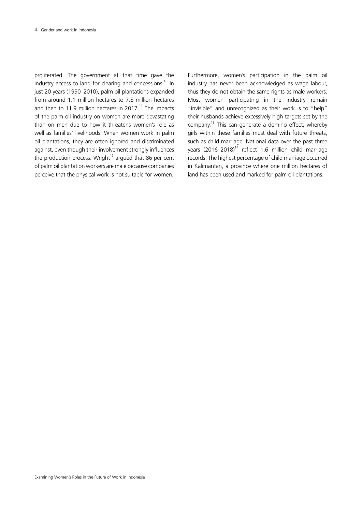proliferated. The government at that time gave the industry access to land for clearing and concessions.<sup>10</sup> In just 20 years (1990–2010), palm oil plantations expanded from around 1.1 million hectares to 7.8 million hectares and then to 11.9 million hectares in 2017.<sup>11</sup> The impacts of the palm oil industry on women are more devastating than on men due to how it threatens women's role as well as families' livelihoods. When women work in palm oil plantations, they are often ignored and discriminated against, even though their involvement strongly influences the production process. Wright $12$  argued that 86 per cent of palm oil plantation workers are male because companies perceive that the physical work is not suitable for women.

Furthermore, women's participation in the palm oil industry has never been acknowledged as wage labour, thus they do not obtain the same rights as male workers. Most women participating in the industry remain "invisible" and unrecognized as their work is to "help" their husbands achieve excessively high targets set by the company. <sup>13</sup> This can generate a domino effect, whereby girls within these families must deal with future threats, such as child marriage. National data over the past three years (2016–2018)<sup>14</sup> reflect 1.6 million child marriage records. The highest percentage of child marriage occurred in Kalimantan, a province where one million hectares of land has been used and marked for palm oil plantations.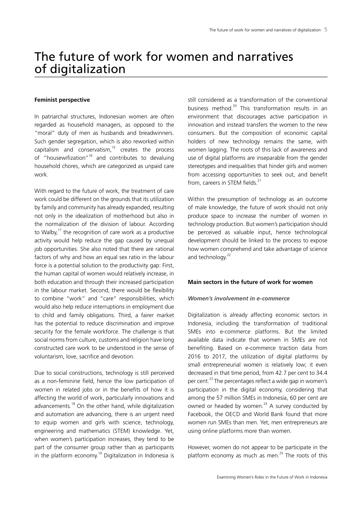# The future of work for women and narratives of digitalization

#### **Feminist perspective**

In patriarchal structures, Indonesian women are often regarded as household managers, as opposed to the "moral" duty of men as husbands and breadwinners. Such gender segregation, which is also reworked within capitalism and conservatism, $15$  creates the process of "housewifization"<sup>16</sup> and contributes to devaluing household chores, which are categorized as unpaid care work.

With regard to the future of work, the treatment of care work could be different on the grounds that its utilization by family and community has already expanded, resulting not only in the idealization of motherhood but also in the normalization of the division of labour. According to Walby, $17$  the recognition of care work as a productive activity would help reduce the gap caused by unequal job opportunities. She also noted that there are rational factors of why and how an equal sex ratio in the labour force is a potential solution to the productivity gap: First, the human capital of women would relatively increase, in both education and through their increased participation in the labour market. Second, there would be flexibility to combine "work" and "care" responsibilities, which would also help reduce interruptions in employment due to child and family obligations. Third, a fairer market has the potential to reduce discrimination and improve security for the female workforce. The challenge is that social norms from culture, customs and religion have long constructed care work to be understood in the sense of voluntarism, love, sacrifice and devotion.

Due to social constructions, technology is still perceived as a non-feminine field, hence the low participation of women in related jobs or in the benefits of how it is affecting the world of work, particularly innovations and advancements.<sup>18</sup> On the other hand, while digitalization and automation are advancing, there is an urgent need to equip women and girls with science, technology, engineering and mathematics (STEM) knowledge. Yet, when women's participation increases, they tend to be part of the consumer group rather than as participants in the platform economy.<sup>19</sup> Digitalization in Indonesia is

still considered as a transformation of the conventional business method.<sup>20</sup> This transformation results in an environment that discourages active participation in innovation and instead transfers the women to the new consumers. But the composition of economic capital holders of new technology remains the same, with women lagging. The roots of this lack of awareness and use of digital platforms are inseparable from the gender stereotypes and inequalities that hinder girls and women from accessing opportunities to seek out, and benefit from, careers in STEM fields. $^{21}$ 

Within the presumption of technology as an outcome of male knowledge, the future of work should not only produce space to increase the number of women in technology production. But women's participation should be perceived as valuable input, hence technological development should be linked to the process to expose how women comprehend and take advantage of science and technology.<sup>22</sup>

#### **Main sectors in the future of work for women**

#### *Women's involvement in e-commerce*

Digitalization is already affecting economic sectors in Indonesia, including the transformation of traditional SMEs into e-commerce platforms. But the limited available data indicate that women in SMEs are not benefiting. Based on e-commerce traction data from 2016 to 2017, the utilization of digital platforms by small entrepreneurial women is relatively low; it even decreased in that time period, from 42.7 per cent to 34.4 per cent.<sup>23</sup> The percentages reflect a wide gap in women's participation in the digital economy, considering that among the 57 million SMEs in Indonesia, 60 per cent are owned or headed by women. $^{24}$  A survey conducted by Facebook, the OECD and World Bank found that more women run SMEs than men. Yet, men entrepreneurs are using online platforms more than women.

However, women do not appear to be participate in the platform economy as much as men. $25$  The roots of this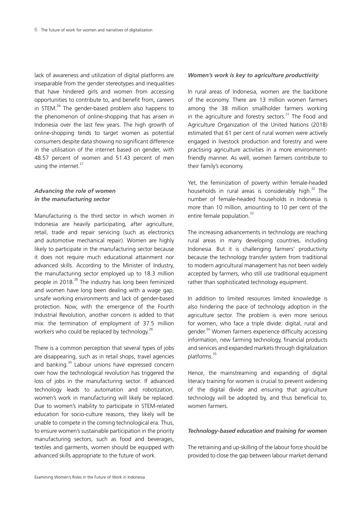lack of awareness and utilization of digital platforms are inseparable from the gender stereotypes and inequalities that have hindered girls and women from accessing opportunities to contribute to, and benefit from, careers in STEM. $^{26}$  The gender-based problem also happens to the phenomenon of online-shopping that has arisen in Indonesia over the last few years. The high growth of online-shopping tends to target women as potential consumers despite data showing no significant difference in the utilisation of the internet based on gender, with 48.57 percent of women and 51.43 percent of men using the internet.<sup>27</sup>

## *Advancing the role of women in the manufacturing sector*

Manufacturing is the third sector in which women in Indonesia are heavily participating, after agriculture, retail, trade and repair servicing (such as electronics and automotive mechanical repair). Women are highly likely to participate in the manufacturing sector because it does not require much educational attainment nor advanced skills. According to the Minister of Industry, the manufacturing sector employed up to 18.3 million people in 2018.<sup>28</sup> The industry has long been feminized and women have long been dealing with a wage gap, unsafe working environments and lack of gender-based protection. Now, with the emergence of the Fourth Industrial Revolution, another concern is added to that mix: the termination of employment of 37.5 million workers who could be replaced by technology.<sup>29</sup>

There is a common perception that several types of jobs are disappearing, such as in retail shops, travel agencies and banking.<sup>30</sup> Labour unions have expressed concern over how the technological revolution has triggered the loss of jobs in the manufacturing sector. If advanced technology leads to automation and robotization, women's work in manufacturing will likely be replaced. Due to women's inability to participate in STEM-related education for socio-culture reasons, they likely will be unable to compete in the coming technological era. Thus, to ensure women's sustainable participation in the priority manufacturing sectors, such as food and beverages, textiles and garments, women should be equipped with advanced skills appropriate to the future of work.

#### *Women's work is key to agriculture productivity*

In rural areas of Indonesia, women are the backbone of the economy. There are 13 million women farmers among the 38 million smallholder farmers working in the agriculture and forestry sectors.<sup>31</sup> The Food and Agriculture Organization of the United Nations (2018) estimated that 61 per cent of rural women were actively engaged in livestock production and forestry and were practising agriculture activities in a more environmentfriendly manner. As well, women farmers contribute to their family's economy.

Yet, the feminization of poverty within female-headed households in rural areas is considerably high.<sup>32</sup> The number of female-headed households in Indonesia is more than 10 million, amounting to 10 per cent of the entire female population.<sup>33</sup>

The increasing advancements in technology are reaching rural areas in many developing countries, including Indonesia. But it is challenging farmers' productivity because the technology transfer system from traditional to modern agricultural management has not been widely accepted by farmers, who still use traditional equipment rather than sophisticated technology equipment.

In addition to limited resources limited knowledge is also hindering the pace of technology adoption in the agriculture sector. The problem is even more serious for women, who face a triple divide: digital, rural and gender.<sup>34</sup> Women farmers experience difficulty accessing information, new farming technology, financial products and services and expanded markets through digitalization platforms.<sup>35</sup>

Hence, the mainstreaming and expanding of digital literacy training for women is crucial to prevent widening of the digital divide and ensuring that agriculture technology will be adopted by, and thus beneficial to, women farmers.

### *Technology-based education and training for women*

The retraining and up-skilling of the labour force should be provided to close the gap between labour market demand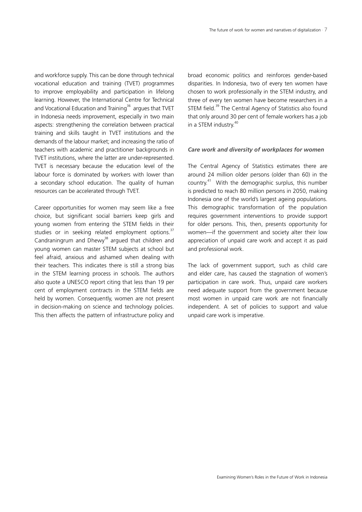and workforce supply. This can be done through technical vocational education and training (TVET) programmes to improve employability and participation in lifelong learning. However, the International Centre for Technical and Vocational Education and Training<sup>36</sup> argues that TVET in Indonesia needs improvement, especially in two main aspects: strengthening the correlation between practical training and skills taught in TVET institutions and the demands of the labour market; and increasing the ratio of teachers with academic and practitioner backgrounds in TVET institutions, where the latter are under-represented. TVET is necessary because the education level of the labour force is dominated by workers with lower than a secondary school education. The quality of human resources can be accelerated through TVET.

Career opportunities for women may seem like a free choice, but significant social barriers keep girls and young women from entering the STEM fields in their studies or in seeking related employment options. $37$ Candraningrum and Dhewy<sup>38</sup> argued that children and young women can master STEM subjects at school but feel afraid, anxious and ashamed when dealing with their teachers. This indicates there is still a strong bias in the STEM learning process in schools. The authors also quote a UNESCO report citing that less than 19 per cent of employment contracts in the STEM fields are held by women. Consequently, women are not present in decision-making on science and technology policies. This then affects the pattern of infrastructure policy and broad economic politics and reinforces gender-based disparities. In Indonesia, two of every ten women have chosen to work professionally in the STEM industry, and three of every ten women have become researchers in a STEM field.<sup>39</sup> The Central Agency of Statistics also found that only around 30 per cent of female workers has a job in a STEM industry.<sup>40</sup>

#### *Care work and diversity of workplaces for women*

The Central Agency of Statistics estimates there are around 24 million older persons (older than 60) in the country.<sup>41</sup> With the demographic surplus, this number is predicted to reach 80 million persons in 2050, making Indonesia one of the world's largest ageing populations. This demographic transformation of the population requires government interventions to provide support for older persons. This, then, presents opportunity for women—if the government and society alter their low appreciation of unpaid care work and accept it as paid and professional work.

The lack of government support, such as child care and elder care, has caused the stagnation of women's participation in care work. Thus, unpaid care workers need adequate support from the government because most women in unpaid care work are not financially independent. A set of policies to support and value unpaid care work is imperative.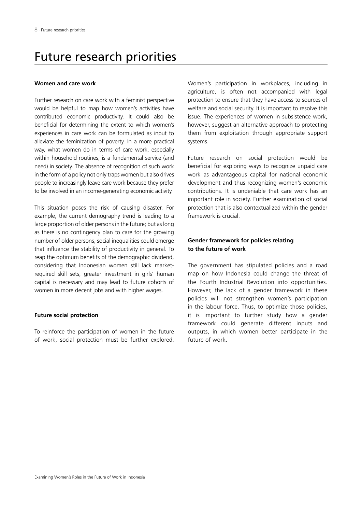# Future research priorities

#### **Women and care work**

Further research on care work with a feminist perspective would be helpful to map how women's activities have contributed economic productivity. It could also be beneficial for determining the extent to which women's experiences in care work can be formulated as input to alleviate the feminization of poverty. In a more practical way, what women do in terms of care work, especially within household routines, is a fundamental service (and need) in society. The absence of recognition of such work in the form of a policy not only traps women but also drives people to increasingly leave care work because they prefer to be involved in an income-generating economic activity.

This situation poses the risk of causing disaster. For example, the current demography trend is leading to a large proportion of older persons in the future; but as long as there is no contingency plan to care for the growing number of older persons, social inequalities could emerge that influence the stability of productivity in general. To reap the optimum benefits of the demographic dividend, considering that Indonesian women still lack marketrequired skill sets, greater investment in girls' human capital is necessary and may lead to future cohorts of women in more decent jobs and with higher wages.

### **Future social protection**

To reinforce the participation of women in the future of work, social protection must be further explored. Women's participation in workplaces, including in agriculture, is often not accompanied with legal protection to ensure that they have access to sources of welfare and social security. It is important to resolve this issue. The experiences of women in subsistence work, however, suggest an alternative approach to protecting them from exploitation through appropriate support systems.

Future research on social protection would be beneficial for exploring ways to recognize unpaid care work as advantageous capital for national economic development and thus recognizing women's economic contributions. It is undeniable that care work has an important role in society. Further examination of social protection that is also contextualized within the gender framework is crucial.

### **Gender framework for policies relating to the future of work**

The government has stipulated policies and a road map on how Indonesia could change the threat of the Fourth Industrial Revolution into opportunities. However, the lack of a gender framework in these policies will not strengthen women's participation in the labour force. Thus, to optimize those policies, it is important to further study how a gender framework could generate different inputs and outputs, in which women better participate in the future of work.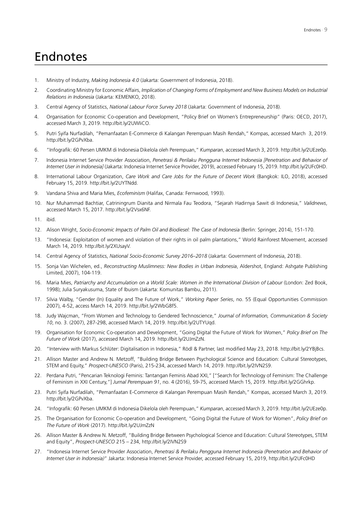# Endnotes

- 1. Ministry of Industry, *Making Indonesia 4.0* (Jakarta: Government of Indonesia, 2018).
- 2. Coordinating Ministry for Economic Affairs, *Implication of Changing Forms of Employment and New Business Models on Industrial Relations in Indonesia* (Jakarta: KEMENKO, 2018).
- 3. Central Agency of Statistics, *National Labour Force Survey 2018* (Jakarta: Government of Indonesia, 2018).
- 4. Organisation for Economic Co-operation and Development, "Policy Brief on Women's Entrepreneurship" (Paris: OECD, 2017), accessed March 3, 2019. http://bit.ly/2UWIiCO.
- 5. Putri Syifa Nurfadilah, "Pemanfaatan E-Commerce di Kalangan Perempuan Masih Rendah," Kompas, accessed March 3, 2019. http://bit.ly/2GPvXba.
- 6. "Infografik: 60 Persen UMKM di Indonesia Dikelola oleh Perempuan," *Kumparan*, accessed March 3, 2019. http://bit.ly/2UEze0p.
- 7. Indonesia Internet Service Provider Association, *Penetrasi & Perilaku Pengguna Internet Indonesia [Penetration and Behavior of Internet User in Indonesia]* (Jakarta: Indonesia Internet Service Provider, 2019), accessed February 15, 2019. http://bit.ly/2UFc0HD.
- 8. International Labour Organization, *Care Work and Care Jobs for the Future of Decent Work* (Bangkok: ILO, 2018), accessed February 15, 2019. http://bit.ly/2UYTNdd.
- 9. Vandana Shiva and Maria Mies, *Ecofeminism* (Halifax, Canada: Fernwood, 1993).
- 10. Nur Muhammad Bachtiar, Catriningrum Dianita and Nirmala Fau Teodora, "Sejarah Hadirnya Sawit di Indonesia," *Validnews*, accessed March 15, 2017. http://bit.ly/2Vsx6NF.

11. ibid.

- 12. Alison Wright, *Socio-Economic Impacts of Palm Oil and Biodiesel: The Case of Indonesia* (Berlin: Springer, 2014), 151-170.
- 13. "Indonesia: Exploitation of women and violation of their rights in oil palm plantations," World Rainforest Movement, accessed March 14, 2019. http://bit.ly/2XUsayV.
- 14. Central Agency of Statistics, *National Socio-Economic Survey 2016–2018* (Jakarta: Government of Indonesia, 2018).
- 15. Sonja Van Wichelen, ed., *Reconstructing Muslimness: New Bodies in Urban Indonesia*, Aldershot, England: Ashgate Publishing Limited, 2007), 104-119.
- 16. Maria Mies, *Patriarchy and Accumulation on a World Scale: Women in the International Division of Labour* (London: Zed Book, 1998); Julia Suryakusuma, State of Ibuism (Jakarta: Komunitas Bambu, 2011).
- 17. Silvia Walby, "Gender (In) Equality and The Future of Work," *Working Paper Series*, no. 55 (Equal Opportunities Commission 2007), 4-52, access March 14, 2019. http://bit.ly/2WbG8f5.
- 18. Judy Wajcman, "From Women and Technology to Gendered Technoscience," *Journal of Information, Communication & Society 10*, no. 3. (2007), 287-298, accessed March 14, 2019. http://bit.ly/2UTYUqd.
- 19. Organisation for Economic Co-operation and Development, "Going Digital the Future of Work for Women," *Policy Brief on The Future of Work* (2017), accessed March 14, 2019. http://bit.ly/2UJmZzN.
- 20. "Interview with Markus Schlüter: Digitalisation in Indonesia," Rödl & Partner, last modified May 23, 2018. http://bit.ly/2YBjBcs.
- 21. Allison Master and Andrew N. Metzoff, "Building Bridge Between Psychological Science and Education: Cultural Stereotypes, STEM and Equity," *Prospect-UNESCO* (Paris), 215-234, accessed March 14, 2019. http://bit.ly/2IVN2S9.
- 22. Perdana Putri, "Pencarian Teknologi Feminis: Tantangan Feminis Abad XXI," ["Search for Technology of Feminism: The Challenge of Feminism in XXI Century,"] *Jurnal Perempuan 91*, no. 4 (2016), 59-75, accessed March 15, 2019. http://bit.ly/2GGhrkp.
- 23. Putri Syifa Nurfadilah, "Pemanfaatan E-Commerce di Kalangan Perempuan Masih Rendah," Kompas, accessed March 3, 2019. http://bit.ly/2GPvXba.
- 24. "Infografik: 60 Persen UMKM di Indonesia Dikelola oleh Perempuan," *Kumparan*, accessed March 3, 2019. http://bit.ly/2UEze0p.
- 25. The Organisation for Economic Co-operation and Development, "Going Digital the Future of Work for Women", *Policy Brief on The Future of Work* (2017). http://bit.ly/2UJmZzN
- 26. Allison Master & Andrew N. Metzoff, "Building Bridge Between Psychological Science and Education: Cultural Stereotypes, STEM and Equity", *Prospect-UNESCO* 215 – 234, http://bit.ly/2IVN2S9
- 27. "Indonesia Internet Service Provider Association, *Penetrasi & Perilaku Pengguna Internet Indonesia (Penetration and Behavior of Internet User in Indonesia)*" Jakarta: Indonesia Internet Service Provider, accessed February 15, 2019, http://bit.ly/2UFc0HD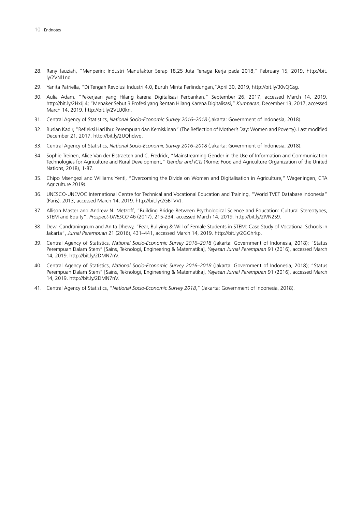- 28. Rany fauziah, "Menperin: Industri Manufaktur Serap 18,25 Juta Tenaga Kerja pada 2018," February 15, 2019, http://bit. ly/2VNl1nd
- 29. Yanita Patriella, "Di Tengah Revolusi Industri 4.0, Buruh Minta Perlindungan,"April 30, 2019, http://bit.ly/30vQGsg.
- 30. Aulia Adam, "Pekerjaan yang Hilang karena Digitalisasi Perbankan," September 26, 2017, accessed March 14, 2019. http://bit.ly/2HxJjI4; "Menaker Sebut 3 Profesi yang Rentan Hilang Karena Digitalisasi," *Kumparan*, December 13, 2017, accessed March 14, 2019. http://bit.ly/2VLU0kn.
- 31. Central Agency of Statistics, *National Socio-Economic Survey 2016–2018* (Jakarta: Government of Indonesia, 2018).
- 32. Ruslan Kadir, "Refleksi Hari Ibu: Perempuan dan Kemiskinan" (The Reflection of Mother's Day: Women and Poverty). Last modified December 21, 2017. http://bit.ly/2UQhdwq.
- 33. Central Agency of Statistics, *National Socio-Economic Survey 2016–2018* (Jakarta: Government of Indonesia, 2018).
- 34. Sophie Treinen, Alice Van der Elstraeten and C. Fredrick, "Mainstreaming Gender in the Use of Information and Communication Technologies for Agriculture and Rural Development," *Gender and ICTs* (Rome: Food and Agriculture Organization of the United Nations, 2018), 1-87.
- 35. Chipo Msengezi and Williams Yentl, "Overcoming the Divide on Women and Digitalisation in Agriculture," Wageningen, CTA Agriculture 2019).
- 36. UNESCO-UNEVOC International Centre for Technical and Vocational Education and Training, "World TVET Database Indonesia" (Paris), 2013, accessed March 14, 2019. http://bit.ly/2GBTVVJ.
- 37. Allison Master and Andrew N. Metzoff, "Building Bridge Between Psychological Science and Education: Cultural Stereotypes, STEM and Equity", *Prospect-UNESCO* 46 (2017), 215-234, accessed March 14, 2019. http://bit.ly/2IVN2S9.
- 38. Dewi Candraningrum and Anita Dhewy, "Fear, Bullying & Will of Female Students in STEM: Case Study of Vocational Schools in Jakarta", *Jurnal Perempuan* 21 (2016), 431–441, accessed March 14, 2019. http://bit.ly/2GGhrkp.
- 39. Central Agency of Statistics, *National Socio-Economic Survey 2016–2018* (Jakarta: Government of Indonesia, 2018); "Status Perempuan Dalam Stem" [Sains, Teknologi, Engineering & Matematika], *Yayasan Jurnal Perempuan* 91 (2016), accessed March 14, 2019. http://bit.ly/2DMN7nV.
- 40. Central Agency of Statistics, *National Socio-Economic Survey 2016–2018* (Jakarta: Government of Indonesia, 2018); "Status Perempuan Dalam Stem" [Sains, Teknologi, Engineering & Matematika], *Yayasan Jurnal Perempuan* 91 (2016), accessed March 14, 2019. http://bit.ly/2DMN7nV.
- 41. Central Agency of Statistics, "*National Socio-Economic Survey 2018*," (Jakarta: Government of Indonesia, 2018).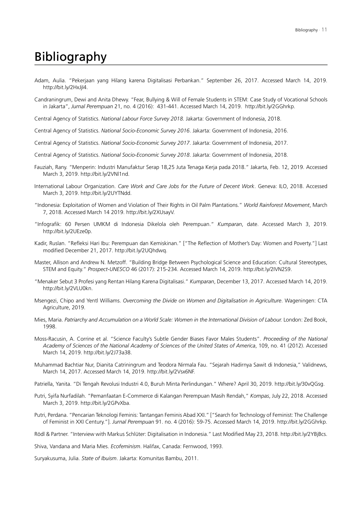# Bibliography

- Adam, Aulia. "Pekerjaan yang Hilang karena Digitalisasi Perbankan." September 26, 2017. Accessed March 14, 2019. http://bit.ly/2HxJjI4.
- Candraningrum, Dewi and Anita Dhewy. "Fear, Bullying & Will of Female Students in STEM: Case Study of Vocational Schools in Jakarta", *Jurnal Perempuan* 21, no. 4 (2016): 431-441. Accessed March 14, 2019. http://bit.ly/2GGhrkp.

Central Agency of Statistics. *National Labour Force Survey 2018.* Jakarta: Government of Indonesia, 2018.

Central Agency of Statistics. *National Socio-Economic Survey 2016*. Jakarta: Government of Indonesia, 2016.

Central Agency of Statistics. *National Socio-Economic Survey 2017*. Jakarta: Government of Indonesia, 2017.

- Central Agency of Statistics. *National Socio-Economic Survey 2018*. Jakarta: Government of Indonesia, 2018.
- Fauziah, Rany. "Menperin: Industri Manufaktur Serap 18,25 Juta Tenaga Kerja pada 2018." Jakarta, Feb. 12, 2019. Accessed March 3, 2019. http://bit.ly/2VNl1nd.
- International Labour Organization. *Care Work and Care Jobs for the Future of Decent Work*. Geneva: ILO, 2018. Accessed March 3, 2019. http://bit.ly/2UYTNdd.
- "Indonesia: Exploitation of Women and Violation of Their Rights in Oil Palm Plantations." *World Rainforest Movement*, March 7, 2018. Accessed March 14 2019. http://bit.ly/2XUsayV.
- "Infografik: 60 Persen UMKM di Indonesia Dikelola oleh Perempuan." *Kumparan*, date. Accessed March 3, 2019. http://bit.ly/2UEze0p.
- Kadir, Ruslan. "Refleksi Hari Ibu: Perempuan dan Kemiskinan." ["The Reflection of Mother's Day: Women and Poverty."] Last modified December 21, 2017. http://bit.ly/2UQhdwq.
- Master, Allison and Andrew N. Metzoff. "Building Bridge Between Psychological Science and Education: Cultural Stereotypes, STEM and Equity." *Prospect-UNESCO* 46 (2017): 215-234. Accessed March 14, 2019. http://bit.ly/2IVN2S9.
- "Menaker Sebut 3 Profesi yang Rentan Hilang Karena Digitalisasi." *Kumparan*, December 13, 2017. Accessed March 14, 2019. http://bit.ly/2VLU0kn.
- Msengezi, Chipo and Yentl Williams. *Overcoming the Divide on Women and Digitalisation in Agriculture*. Wageningen: CTA Agriculture, 2019.
- Mies, Maria. *Patriarchy and Accumulation on a World Scale: Women in the International Division of Labour.* London: Zed Book, 1998.
- Moss-Racusin, A. Corrine et al. "Science Faculty's Subtle Gender Biases Favor Males Students". *Proceeding of the National Academy of Sciences of the National Academy of Sciences of the United States of America*, 109, no. 41 (2012). Accessed March 14, 2019. http://bit.ly/2J73a38.
- Muhammad Bachtiar Nur, Dianita Catriningrum and Teodora Nirmala Fau. "Sejarah Hadirnya Sawit di Indonesia," Validnews, March 14, 2017. Accessed March 14, 2019. http://bit.ly/2Vsx6NF.

Patriella, Yanita. "Di Tengah Revolusi Industri 4.0, Buruh Minta Perlindungan." Where? April 30, 2019. http://bit.ly/30vQGsg.

- Putri, Syifa Nurfadilah. "Pemanfaatan E-Commerce di Kalangan Perempuan Masih Rendah," *Kompas*, July 22, 2018. Accessed March 3, 2019. http://bit.ly/2GPvXba.
- Putri, Perdana. "Pencarian Teknologi Feminis: Tantangan Feminis Abad XXI." ["Search for Technology of Feminist: The Challenge of Feminist in XXI Century."]. *Jurnal Perempuan* 91. no. 4 (2016): 59-75. Accessed March 14, 2019. http://bit.ly/2GGhrkp.
- Rödl & Partner. "Interview with Markus Schlüter: Digitalisation in Indonesia." Last Modified May 23, 2018. http://bit.ly/2YBjBcs.

Shiva, Vandana and Maria Mies. *Ecofeminism*. Halifax, Canada: Fernwood, 1993.

Suryakusuma, Julia. *State of Ibuism*. Jakarta: Komunitas Bambu, 2011.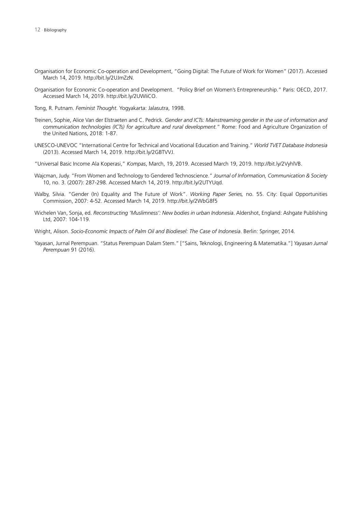- Organisation for Economic Co-operation and Development, "Going Digital: The Future of Work for Women" (2017). Accessed March 14, 2019. http://bit.ly/2UJmZzN.
- Organisation for Economic Co-operation and Development. "Policy Brief on Women's Entrepreneurship." Paris: OECD, 2017. Accessed March 14, 2019. http://bit.ly/2UWIiCO.
- Tong, R. Putnam. *Feminist Thought*. Yogyakarta: Jalasutra, 1998.
- Treinen, Sophie, Alice Van der Elstraeten and C. Pedrick. *Gender and ICTs: Mainstreaming gender in the use of information and communication technologies (ICTs) for agriculture and rural development.*" Rome: Food and Agriculture Organization of the United Nations, 2018: 1-87.
- UNESCO-UNEVOC "International Centre for Technical and Vocational Education and Training." *World TVET Database Indonesia*  (2013). Accessed March 14, 2019. http://bit.ly/2GBTVVJ.
- "Universal Basic Income Ala Koperasi," *Kompas*, March, 19, 2019. Accessed March 19, 2019. http://bit.ly/2VyhlVB.
- Wajcman, Judy. "From Women and Technology to Gendered Technoscience." *Journal of Information, Communication & Society*  10, no. 3. (2007): 287-298. Accessed March 14, 2019. http://bit.ly/2UTYUqd.
- Walby, Silvia. "Gender (In) Equality and The Future of Work". *Working Paper Series,* no. 55. City: Equal Opportunities Commission, 2007: 4-52. Accessed March 14, 2019. http://bit.ly/2WbG8f5
- Wichelen Van, Sonja, ed. *Reconstructing 'Muslimness': New bodies in urban Indonesia*. Aldershot, England: Ashgate Publishing Ltd, 2007: 104-119.
- Wright, Alison. *Socio-Economic Impacts of Palm Oil and Biodiesel: The Case of Indonesia*. Berlin: Springer, 2014.
- Yayasan, Jurnal Perempuan. "Status Perempuan Dalam Stem." ["Sains, Teknologi, Engineering & Matematika."] *Yayasan Jurnal Perempuan* 91 (2016).